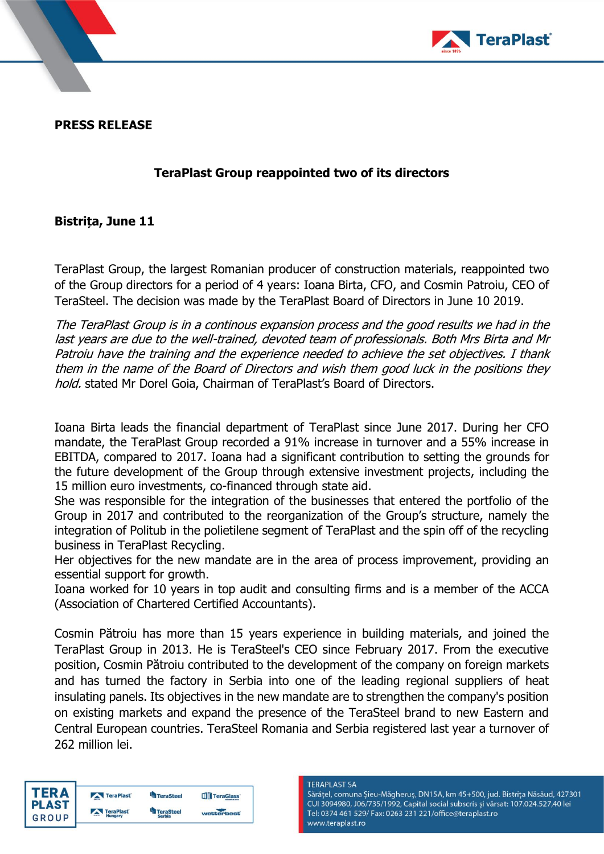

**PRESS RELEASE**

## **TeraPlast Group reappointed two of its directors**

## **Bistrița, June 11**

TeraPlast Group, the largest Romanian producer of construction materials, reappointed two of the Group directors for a period of 4 years: Ioana Birta, CFO, and Cosmin Patroiu, CEO of TeraSteel. The decision was made by the TeraPlast Board of Directors in June 10 2019.

The TeraPlast Group is in a continous expansion process and the good results we had in the last years are due to the well-trained, devoted team of professionals. Both Mrs Birta and Mr Patroiu have the training and the experience needed to achieve the set objectives. I thank them in the name of the Board of Directors and wish them good luck in the positions they hold. stated Mr Dorel Goia, Chairman of TeraPlast's Board of Directors.

Ioana Birta leads the financial department of TeraPlast since June 2017. During her CFO mandate, the TeraPlast Group recorded a 91% increase in turnover and a 55% increase in EBITDA, compared to 2017. Ioana had a significant contribution to setting the grounds for the future development of the Group through extensive investment projects, including the 15 million euro investments, co-financed through state aid.

She was responsible for the integration of the businesses that entered the portfolio of the Group in 2017 and contributed to the reorganization of the Group's structure, namely the integration of Politub in the polietilene segment of TeraPlast and the spin off of the recycling business in TeraPlast Recycling.

Her objectives for the new mandate are in the area of process improvement, providing an essential support for growth.

Ioana worked for 10 years in top audit and consulting firms and is a member of the ACCA (Association of Chartered Certified Accountants).

Cosmin Pătroiu has more than 15 years experience in building materials, and joined the TeraPlast Group in 2013. He is TeraSteel's CEO since February 2017. From the executive position, Cosmin Pătroiu contributed to the development of the company on foreign markets and has turned the factory in Serbia into one of the leading regional suppliers of heat insulating panels. Its objectives in the new mandate are to strengthen the company's position on existing markets and expand the presence of the TeraSteel brand to new Eastern and Central European countries. TeraSteel Romania and Serbia registered last year a turnover of 262 million lei.